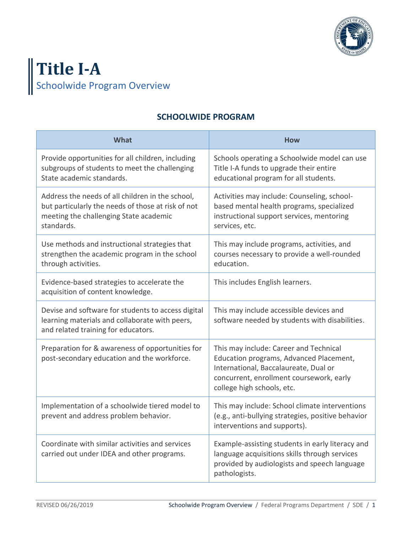

## **Title I-A** Schoolwide Program Overview

## **SCHOOLWIDE PROGRAM**

| What                                                                                                                                                           | <b>How</b>                                                                                                                                                                                           |
|----------------------------------------------------------------------------------------------------------------------------------------------------------------|------------------------------------------------------------------------------------------------------------------------------------------------------------------------------------------------------|
| Provide opportunities for all children, including<br>subgroups of students to meet the challenging<br>State academic standards.                                | Schools operating a Schoolwide model can use<br>Title I-A funds to upgrade their entire<br>educational program for all students.                                                                     |
| Address the needs of all children in the school,<br>but particularly the needs of those at risk of not<br>meeting the challenging State academic<br>standards. | Activities may include: Counseling, school-<br>based mental health programs, specialized<br>instructional support services, mentoring<br>services, etc.                                              |
| Use methods and instructional strategies that<br>strengthen the academic program in the school<br>through activities.                                          | This may include programs, activities, and<br>courses necessary to provide a well-rounded<br>education.                                                                                              |
| Evidence-based strategies to accelerate the<br>acquisition of content knowledge.                                                                               | This includes English learners.                                                                                                                                                                      |
| Devise and software for students to access digital<br>learning materials and collaborate with peers,<br>and related training for educators.                    | This may include accessible devices and<br>software needed by students with disabilities.                                                                                                            |
| Preparation for & awareness of opportunities for<br>post-secondary education and the workforce.                                                                | This may include: Career and Technical<br>Education programs, Advanced Placement,<br>International, Baccalaureate, Dual or<br>concurrent, enrollment coursework, early<br>college high schools, etc. |
| Implementation of a schoolwide tiered model to<br>prevent and address problem behavior.                                                                        | This may include: School climate interventions<br>(e.g., anti-bullying strategies, positive behavior<br>interventions and supports).                                                                 |
| Coordinate with similar activities and services<br>carried out under IDEA and other programs.                                                                  | Example-assisting students in early literacy and<br>language acquisitions skills through services<br>provided by audiologists and speech language<br>pathologists.                                   |